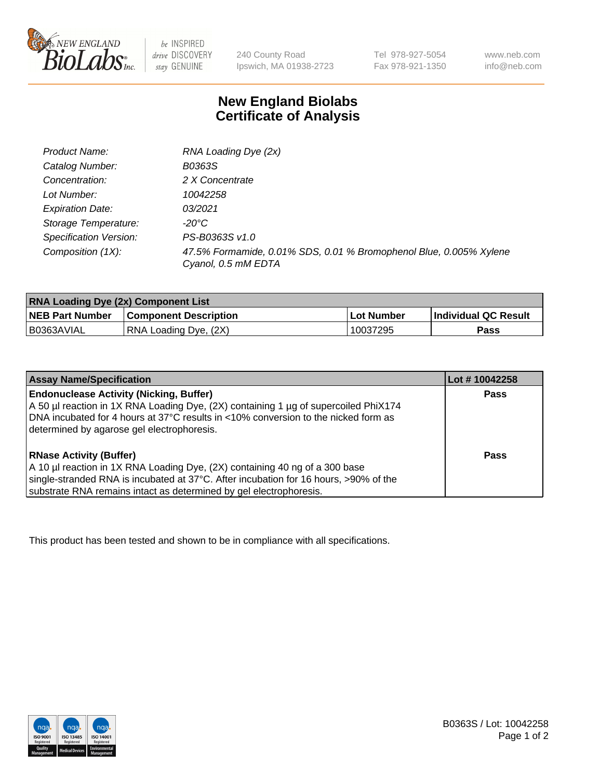

 $be$  INSPIRED drive DISCOVERY stay GENUINE

240 County Road Ipswich, MA 01938-2723 Tel 978-927-5054 Fax 978-921-1350 www.neb.com info@neb.com

## **New England Biolabs Certificate of Analysis**

| Product Name:           | RNA Loading Dye (2x)                                                                      |
|-------------------------|-------------------------------------------------------------------------------------------|
| Catalog Number:         | B0363S                                                                                    |
| Concentration:          | 2 X Concentrate                                                                           |
| Lot Number:             | 10042258                                                                                  |
| <b>Expiration Date:</b> | 03/2021                                                                                   |
| Storage Temperature:    | -20°C                                                                                     |
| Specification Version:  | PS-B0363S v1.0                                                                            |
| Composition (1X):       | 47.5% Formamide, 0.01% SDS, 0.01 % Bromophenol Blue, 0.005% Xylene<br>Cyanol, 0.5 mM EDTA |

| <b>RNA Loading Dye (2x) Component List</b> |                              |            |                             |  |
|--------------------------------------------|------------------------------|------------|-----------------------------|--|
| <b>NEB Part Number</b>                     | <b>Component Description</b> | Lot Number | <b>Individual QC Result</b> |  |
| B0363AVIAL                                 | RNA Loading Dye, (2X)        | 10037295   | Pass                        |  |

| <b>Assay Name/Specification</b>                                                                                                                                                                                                                                             | Lot # 10042258 |
|-----------------------------------------------------------------------------------------------------------------------------------------------------------------------------------------------------------------------------------------------------------------------------|----------------|
| <b>Endonuclease Activity (Nicking, Buffer)</b><br>A 50 µl reaction in 1X RNA Loading Dye, (2X) containing 1 µg of supercoiled PhiX174<br>DNA incubated for 4 hours at 37°C results in <10% conversion to the nicked form as<br>determined by agarose gel electrophoresis.   | <b>Pass</b>    |
| <b>RNase Activity (Buffer)</b><br>A 10 µl reaction in 1X RNA Loading Dye, (2X) containing 40 ng of a 300 base<br>single-stranded RNA is incubated at 37°C. After incubation for 16 hours, >90% of the<br>substrate RNA remains intact as determined by gel electrophoresis. | Pass           |

This product has been tested and shown to be in compliance with all specifications.